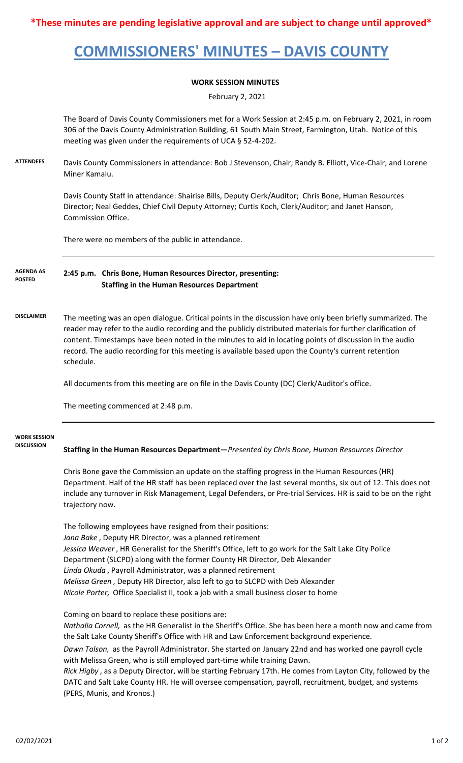**\*These minutes are pending legislative approval and are subject to change until approved\***

## **COMMISSIONERS' MINUTES – DAVIS COUNTY**

## **WORK SESSION MINUTES**

February 2, 2021

The Board of Davis County Commissioners met for a Work Session at 2:45 p.m. on February 2, 2021, in room 306 of the Davis County Administration Building, 61 South Main Street, Farmington, Utah. Notice of this meeting was given under the requirements of UCA § 52-4-202.

**ATTENDEES** Davis County Commissioners in attendance: Bob J Stevenson, Chair; Randy B. Elliott, Vice-Chair; and Lorene Miner Kamalu.

> Davis County Staff in attendance: Shairise Bills, Deputy Clerk/Auditor; Chris Bone, Human Resources Director; Neal Geddes, Chief Civil Deputy Attorney; Curtis Koch, Clerk/Auditor; and Janet Hanson, Commission Office.

There were no members of the public in attendance.

**2:45 p.m. Chris Bone, Human Resources Director, presenting: Staffing in the Human Resources Department AGENDA AS POSTED**

**DISCLAIMER** The meeting was an open dialogue. Critical points in the discussion have only been briefly summarized. The reader may refer to the audio recording and the publicly distributed materials for further clarification of content. Timestamps have been noted in the minutes to aid in locating points of discussion in the audio record. The audio recording for this meeting is available based upon the County's current retention schedule.

All documents from this meeting are on file in the Davis County (DC) Clerk/Auditor's office.

The meeting commenced at 2:48 p.m.

## **WORK SESSION DISCUSSION**

**Staffing in the Human Resources Department—***Presented by Chris Bone, Human Resources Director*

Chris Bone gave the Commission an update on the staffing progress in the Human Resources (HR) Department. Half of the HR staff has been replaced over the last several months, six out of 12. This does not include any turnover in Risk Management, Legal Defenders, or Pre-trial Services. HR is said to be on the right trajectory now.

The following employees have resigned from their positions: *Jana Bake* , Deputy HR Director, was a planned retirement *Jessica Weaver* , HR Generalist for the Sheriff's Office, left to go work for the Salt Lake City Police Department (SLCPD) along with the former County HR Director, Deb Alexander *Linda Okuda* , Payroll Administrator, was a planned retirement *Melissa Green* , Deputy HR Director, also left to go to SLCPD with Deb Alexander *Nicole Porter,* Office Specialist II, took a job with a small business closer to home

Coming on board to replace these positions are:

*Nathalia Cornell,* as the HR Generalist in the Sheriff's Office. She has been here a month now and came from the Salt Lake County Sheriff's Office with HR and Law Enforcement background experience.

*Dawn Tolson,* as the Payroll Administrator. She started on January 22nd and has worked one payroll cycle with Melissa Green, who is still employed part-time while training Dawn.

*Rick Higby* , as a Deputy Director, will be starting February 17th. He comes from Layton City, followed by the DATC and Salt Lake County HR. He will oversee compensation, payroll, recruitment, budget, and systems (PERS, Munis, and Kronos.)